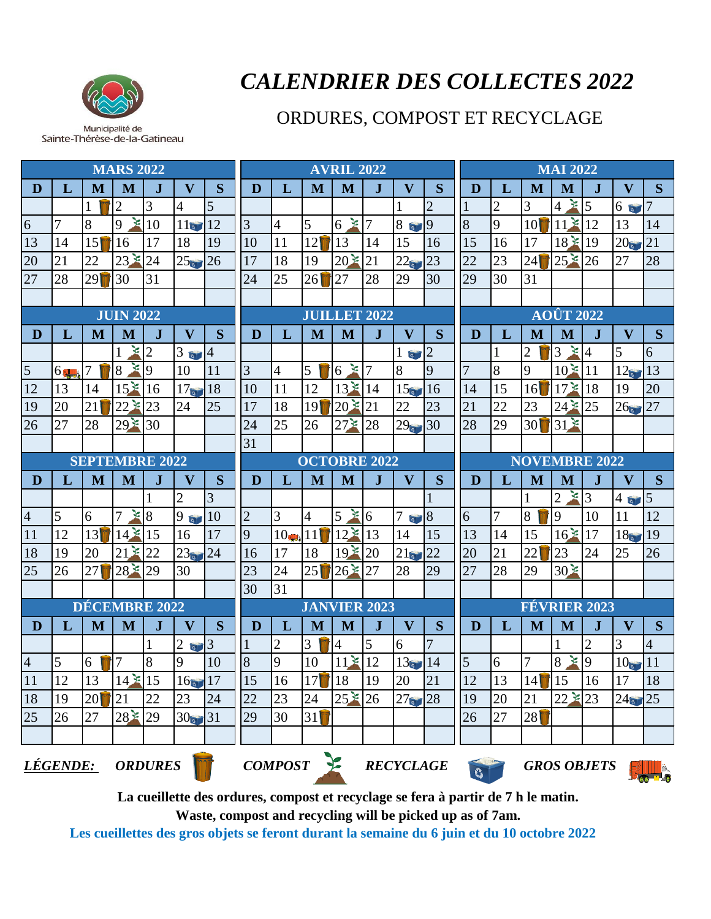

Municipalité de Sainte-Thérèse-de-la-Gatineau

## *CALENDRIER DES COLLECTES 2022*

## ORDURES, COMPOST ET RECYCLAGE

| <b>MARS 2022</b>                                             |                  |     |                            |                     |                              |                |                     | <b>AVRIL 2022</b>                       |         |                |              |                                    |                |                                | <b>MAI 2022</b> |                      |                               |                      |                   |                |  |  |
|--------------------------------------------------------------|------------------|-----|----------------------------|---------------------|------------------------------|----------------|---------------------|-----------------------------------------|---------|----------------|--------------|------------------------------------|----------------|--------------------------------|-----------------|----------------------|-------------------------------|----------------------|-------------------|----------------|--|--|
| D                                                            | L                | M   | M                          |                     | $\mathbf{V}$                 | <sub>S</sub>   | D                   | L                                       | M       | M              | $\mathbf{J}$ | $\mathbf{V}$                       | S              | D                              | L               | M                    | M                             | $\mathbf J$          | $\mathbf{V}$      | S              |  |  |
|                                                              |                  |     | $\overline{2}$             | 3                   | 4                            | 5              |                     |                                         |         |                |              |                                    | $\overline{2}$ |                                | $\overline{2}$  | 3                    | $4 * 5$                       |                      | 6                 |                |  |  |
| 6                                                            | 7                | 8   | 9                          | $\geq 10$           | 11                           | 12             | $\overline{3}$      | $\overline{4}$                          | 5       | $\geq 7$<br>6  |              | 869                                |                | 8                              | 9               | 10 <sup>1</sup>      | $11 * 12$                     |                      | 13                | 14             |  |  |
| 13                                                           | 14               | 151 | 16                         | 17                  | 18                           | 19             | 10                  | 11                                      | 12      | 13             | 14           | 15                                 | 16             | 15                             | 16              | 17                   | 18 * 19                       |                      | 20                | 21             |  |  |
| 20                                                           | 21               | 22  | $23 \times$                | 24                  | 25                           | 26             | 17                  | 18                                      | 19      | $20\le$        | 21           | 22                                 | 23             | 22                             | 23              | 24                   | $25 * 26$                     |                      | 27                | 28             |  |  |
| 27                                                           | 28               | 29  | 30                         | 31                  |                              |                | 24                  | 25                                      | 26      | 27             | 28           | 29                                 | 30             | 29                             | 30              | 31                   |                               |                      |                   |                |  |  |
|                                                              |                  |     |                            |                     |                              |                |                     |                                         |         |                |              |                                    |                |                                |                 |                      |                               |                      |                   |                |  |  |
|                                                              | <b>JUIN 2022</b> |     |                            |                     |                              |                | <b>JUILLET 2022</b> |                                         |         |                |              |                                    |                | <b>AOÛT 2022</b>               |                 |                      |                               |                      |                   |                |  |  |
| D                                                            | L                | M   | M                          | J.                  | $\overline{\mathbf{V}}$      | S              | D                   | L                                       | M       | M              | $\mathbf{J}$ | $\overline{\mathbf{V}}$            | S              | D                              | L               | M                    | M                             | $\bf J$              | $\mathbf{V}$      | S              |  |  |
|                                                              |                  |     | $\geq 2$                   |                     | 3 <sub>°</sub>               | $\overline{4}$ |                     |                                         |         |                |              | 1 <sub>°</sub>                     | $\overline{2}$ |                                | 1               | $\overline{2}$       | $3 \times 4$                  |                      | 5                 | 6              |  |  |
| $\overline{5}$                                               | $6\frac{1}{2}$   | 7   | 8                          | $\mathbf{\Sigma}$ 9 | 10                           | 11             | 3                   | $\overline{4}$                          | 5       | $\geq 7$<br>6  |              | 8                                  | $\overline{9}$ | $\overline{7}$                 | 8               | 9                    | $10*11$                       |                      | $12\epsilon$      | 13             |  |  |
| 12                                                           | 13               | 14  | 15 <sup>2</sup>            | 16                  | 17 <sub>°</sub>              | 18             | 10                  | 11                                      | 12      | $13*14$        |              | 15 <sub>°</sub>                    | 16             | 14                             | 15              | 16                   | $17 \times 18$                |                      | 19                | 20             |  |  |
| 19                                                           | 20               | 21  | $22 \times 23$             |                     | 24                           | 25             | 17                  | 18                                      | 19      | $20 * 21$      |              | 22                                 | 23             | 21                             | 22              | 23                   | $24 * 25$                     |                      | 26                | 27             |  |  |
| 26                                                           | 27               | 28  | 29 <sup>2</sup>            | 30                  |                              |                | 24                  | 25                                      | 26      | $27 \times 28$ |              | $29$ 30                            |                | 28                             | 29              | 30                   | $31*$                         |                      |                   |                |  |  |
|                                                              |                  |     |                            |                     |                              |                | 31                  |                                         |         |                |              |                                    |                |                                |                 |                      |                               |                      |                   |                |  |  |
| <b>SEPTEMBRE 2022</b>                                        |                  |     |                            |                     |                              |                |                     | <b>OCTOBRE 2022</b>                     |         |                |              |                                    |                |                                |                 | <b>NOVEMBRE 2022</b> |                               |                      |                   |                |  |  |
| D                                                            | L                | M   | M                          |                     | $\mathbf{V}$                 | S              | D                   | L                                       | M       | M              | $\mathbf{J}$ | $\overline{\mathbf{V}}$            | S              | D                              | L               | M                    | M                             |                      | $\mathbf{V}$      | S              |  |  |
|                                                              |                  |     |                            |                     | $\overline{c}$               | 3              |                     |                                         |         |                |              |                                    |                |                                |                 |                      | $\geq 3$<br>$\mathbf{2}$      |                      | 4 <sub>°</sub>    | $\overline{5}$ |  |  |
| $\overline{4}$                                               | 5                | 6   | $\geq 8$<br>$\overline{7}$ |                     | 9                            | 10             | $\overline{2}$      | 3                                       | 4       | $5 * 6$        |              | 768                                |                | $\overline{6}$                 | $\overline{7}$  | 8                    | 9                             | 10                   | 11                | 12             |  |  |
| 11                                                           | 12               | 13  | $14 * 15$                  |                     | 16                           | 17             | 9                   | 10                                      | 11      | $12*13$        |              | 14                                 | 15             | 13                             | 14              | 15                   | 16 <sup>2</sup>               | 17                   | 18 <sub>o</sub>   | 19             |  |  |
| 18                                                           | 19               | 20  | $21 \times 22$             |                     | 23                           | 24             | 16                  | 17                                      | 18      | $19*20$        |              | 21                                 | 22             | 20                             | 21              | 22                   | 23                            | 24                   | 25                | 26             |  |  |
| 25                                                           | 26               | 27  | $28 * 29$                  |                     | 30                           |                | 23                  | 24                                      | 25      | $26 * 27$      |              | 28                                 | 29             | 27                             | 28              | 29                   | 30 <sup>2</sup>               |                      |                   |                |  |  |
|                                                              |                  |     |                            |                     |                              |                | 30                  | 31                                      |         |                |              |                                    |                |                                |                 |                      |                               |                      |                   |                |  |  |
| DÉCEMBRE 2022<br>S<br>L<br>M<br>M<br>$\mathbf{V}$<br>D<br>J. |                  |     |                            |                     |                              |                |                     | <b>JANVIER 2023</b><br>D<br>L<br>M<br>M |         |                |              | $\overline{\mathbf{V}}$<br>S<br>J. |                |                                | D<br>L          |                      | <b>FÉVRIER 2023</b><br>M<br>M |                      | S<br>$\mathbf{V}$ |                |  |  |
|                                                              |                  |     |                            |                     | $\overline{2}$<br>$\sqrt{2}$ | 3              |                     | $\overline{2}$                          | 3       | $\overline{4}$ | 5            | 6                                  | 7              |                                |                 |                      |                               | J.<br>$\overline{2}$ | 3                 | $\overline{4}$ |  |  |
| $\overline{4}$                                               | 5                | 6   | 7                          | 8                   | 9                            | 10             | $\overline{8}$      | 9                                       | 10      | $11 * 12$      |              | 13                                 | 14             | $\overline{5}$                 | 6               | 7                    | 圣<br>8                        | $\overline{9}$       | 10                | 11             |  |  |
| 11                                                           | $\overline{12}$  | 13  | $14 * 15$                  |                     | 16. 17                       |                | $1\epsilon$<br>12   | 16                                      | $17$ 18 |                | $ 19\rangle$ | $\overline{20}$                    | 21             | $\overline{12}$                | $\overline{13}$ | 14                   | 15                            | 16                   | $\overline{17}$   | 18             |  |  |
| 18                                                           | 19               | 20  | 21                         | 22                  | 23                           | 24             | 22                  | 23                                      | 24      | $25 * 26$      |              | $27 - 28$                          |                | 19                             | 20              | 21                   | $22 * 23$                     |                      | $24 - 25$         |                |  |  |
| 25                                                           | 26               | 27  | $28 * 29$                  |                     | $30$ $31$                    |                | 29                  | 30                                      | 31      |                |              |                                    |                | 26                             | 27              | 28                   |                               |                      |                   |                |  |  |
|                                                              |                  |     |                            |                     |                              |                |                     |                                         |         |                |              |                                    |                |                                |                 |                      |                               |                      |                   |                |  |  |
|                                                              | <u>LÉGENDE:</u>  |     | <b>ORDURES</b>             |                     |                              |                |                     | <b>COMPOST</b><br><b>RECYCLAGE</b>      |         |                |              |                                    |                | <b>GROS OBJETS</b><br><b>C</b> |                 |                      |                               |                      |                   |                |  |  |

**La cueillette des ordures, compost et recyclage se fera à partir de 7 h le matin.**

**Waste, compost and recycling will be picked up as of 7am.**

**Les cueillettes des gros objets se feront durant la semaine du 6 juin et du 10 octobre 2022**